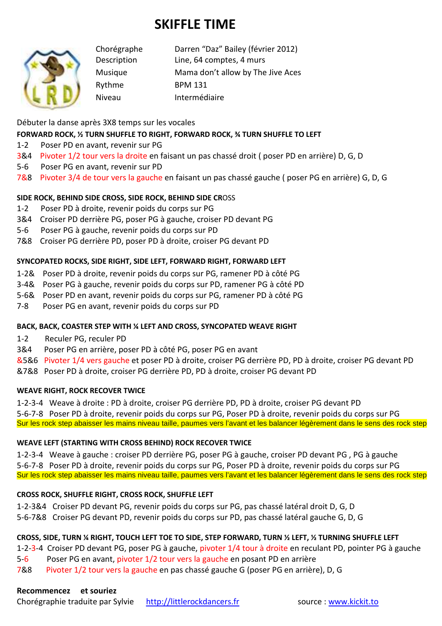# **SKIFFLE TIME**



Chorégraphe Darren "Daz" Bailey (février 2012) Description Line, 64 comptes, 4 murs Musique Mama don't allow by The Jive Aces Rythme BPM 131 Niveau Intermédiaire

Débuter la danse après 3X8 temps sur les vocales

### **FORWARD ROCK, ½ TURN SHUFFLE TO RIGHT, FORWARD ROCK, ¾ TURN SHUFFLE TO LEFT**

- 1-2 Poser PD en avant, revenir sur PG
- 3&4 Pivoter 1/2 tour vers la droite en faisant un pas chassé droit ( poser PD en arrière) D, G, D
- 5-6 Poser PG en avant, revenir sur PD
- 7&8 Pivoter 3/4 de tour vers la gauche en faisant un pas chassé gauche ( poser PG en arrière) G, D, G

#### **SIDE ROCK, BEHIND SIDE CROSS, SIDE ROCK, BEHIND SIDE CR**OSS

- 1-2 Poser PD à droite, revenir poids du corps sur PG
- 3&4 Croiser PD derrière PG, poser PG à gauche, croiser PD devant PG
- 5-6 Poser PG à gauche, revenir poids du corps sur PD
- 7&8 Croiser PG derrière PD, poser PD à droite, croiser PG devant PD

#### **SYNCOPATED ROCKS, SIDE RIGHT, SIDE LEFT, FORWARD RIGHT, FORWARD LEFT**

- 1-2& Poser PD à droite, revenir poids du corps sur PG, ramener PD à côté PG
- 3-4& Poser PG à gauche, revenir poids du corps sur PD, ramener PG à côté PD
- 5-6& Poser PD en avant, revenir poids du corps sur PG, ramener PD à côté PG
- 7-8 Poser PG en avant, revenir poids du corps sur PD

#### **BACK, BACK, COASTER STEP WITH ¼ LEFT AND CROSS, SYNCOPATED WEAVE RIGHT**

- 1-2 Reculer PG, reculer PD
- 3&4 Poser PG en arrière, poser PD à côté PG, poser PG en avant

&5&6 Pivoter 1/4 vers gauche et poser PD à droite, croiser PG derrière PD, PD à droite, croiser PG devant PD

&7&8 Poser PD à droite, croiser PG derrière PD, PD à droite, croiser PG devant PD

#### **WEAVE RIGHT, ROCK RECOVER TWICE**

1-2-3-4 Weave à droite : PD à droite, croiser PG derrière PD, PD à droite, croiser PG devant PD

5-6-7-8 Poser PD à droite, revenir poids du corps sur PG, Poser PD à droite, revenir poids du corps sur PG Sur les rock step abaisser les mains niveau taille, paumes vers l'avant et les balancer légèrement dans le sens des rock step

#### **WEAVE LEFT (STARTING WITH CROSS BEHIND) ROCK RECOVER TWICE**

1-2-3-4 Weave à gauche : croiser PD derrière PG, poser PG à gauche, croiser PD devant PG , PG à gauche 5-6-7-8 Poser PD à droite, revenir poids du corps sur PG, Poser PD à droite, revenir poids du corps sur PG Sur les rock step abaisser les mains niveau taille, paumes vers l'avant et les balancer légèrement dans le sens des rock step

#### **CROSS ROCK, SHUFFLE RIGHT, CROSS ROCK, SHUFFLE LEFT**

1-2-3&4 Croiser PD devant PG, revenir poids du corps sur PG, pas chassé latéral droit D, G, D

5-6-7&8 Croiser PG devant PD, revenir poids du corps sur PD, pas chassé latéral gauche G, D, G

## **CROSS, SIDE, TURN ¼ RIGHT, TOUCH LEFT TOE TO SIDE, STEP FORWARD, TURN ½ LEFT, ½ TURNING SHUFFLE LEFT**

1-2-3-4 Croiser PD devant PG, poser PG à gauche, pivoter 1/4 tour à droite en reculant PD, pointer PG à gauche

5-6 Poser PG en avant, pivoter 1/2 tour vers la gauche en posant PD en arrière

7&8 Pivoter 1/2 tour vers la gauche en pas chassé gauche G (poser PG en arrière), D, G

#### **Recommencez et souriez**

Chorégraphie traduite par Sylvie http://littlerockdancers.fr source : www.kickit.to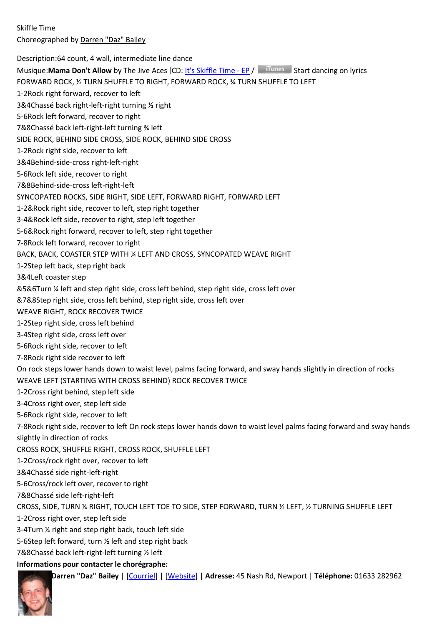Skiffle Time Choreographed by Darren "Daz" Bailey

Description:64 count, 4 wall, intermediate line dance

Musique:**Mama Don't Allow** by The Jive Aces [CD: It's Skiffle Time - EP / Tunes Start dancing on lyrics

FORWARD ROCK, ½ TURN SHUFFLE TO RIGHT, FORWARD ROCK, ¾ TURN SHUFFLE TO LEFT

1-2Rock right forward, recover to left

3&4Chassé back right-left-right turning ½ right

5-6Rock left forward, recover to right

7&8Chassé back left-right-left turning ¾ left

SIDE ROCK, BEHIND SIDE CROSS, SIDE ROCK, BEHIND SIDE CROSS

1-2Rock right side, recover to left

3&4Behind-side-cross right-left-right

5-6Rock left side, recover to right

7&8Behind-side-cross left-right-left

SYNCOPATED ROCKS, SIDE RIGHT, SIDE LEFT, FORWARD RIGHT, FORWARD LEFT

1-2&Rock right side, recover to left, step right together

3-4&Rock left side, recover to right, step left together

5-6&Rock right forward, recover to left, step right together

7-8Rock left forward, recover to right

BACK, BACK, COASTER STEP WITH ¼ LEFT AND CROSS, SYNCOPATED WEAVE RIGHT

1-2Step left back, step right back

3&4Left coaster step

&5&6Turn ¼ left and step right side, cross left behind, step right side, cross left over

&7&8Step right side, cross left behind, step right side, cross left over

WEAVE RIGHT, ROCK RECOVER TWICE

1-2Step right side, cross left behind

3-4Step right side, cross left over

5-6Rock right side, recover to left

7-8Rock right side recover to left

On rock steps lower hands down to waist level, palms facing forward, and sway hands slightly in direction of rocks WEAVE LEFT (STARTING WITH CROSS BEHIND) ROCK RECOVER TWICE

1-2Cross right behind, step left side

3-4Cross right over, step left side

5-6Rock right side, recover to left

7-8Rock right side, recover to left On rock steps lower hands down to waist level palms facing forward and sway hands slightly in direction of rocks

CROSS ROCK, SHUFFLE RIGHT, CROSS ROCK, SHUFFLE LEFT

1-2Cross/rock right over, recover to left

3&4Chassé side right-left-right

5-6Cross/rock left over, recover to right

7&8Chassé side left-right-left

CROSS, SIDE, TURN ¼ RIGHT, TOUCH LEFT TOE TO SIDE, STEP FORWARD, TURN ½ LEFT, ½ TURNING SHUFFLE LEFT

1-2Cross right over, step left side

3-4Turn ¼ right and step right back, touch left side

5-6Step left forward, turn ½ left and step right back

7&8Chassé back left-right-left turning ½ left

#### **Informations pour contacter le chorégraphe:**

**Darren "Daz" Bailey** | [Courriel] | [Website] | **Adresse:** 45 Nash Rd, Newport | **Téléphone:** 01633 282962